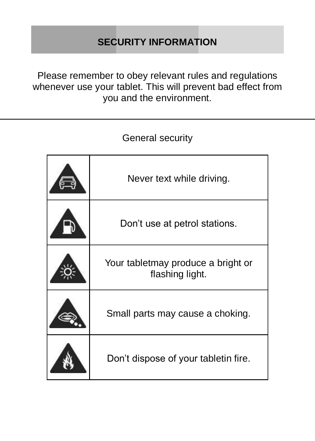# **SECURITY INFORMATION**

Please remember to obey relevant rules and regulations whenever use your tablet. This will prevent bad effect from you and the environment.

General security

| Never text while driving.                             |
|-------------------------------------------------------|
| Don't use at petrol stations.                         |
| Your tabletmay produce a bright or<br>flashing light. |
| Small parts may cause a choking.                      |
| Don't dispose of your tabletin fire.                  |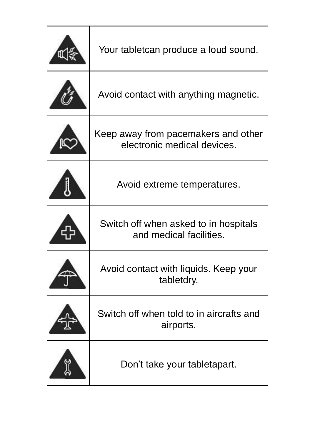| Your tabletcan produce a loud sound.                               |
|--------------------------------------------------------------------|
| Avoid contact with anything magnetic.                              |
| Keep away from pacemakers and other<br>electronic medical devices. |
| Avoid extreme temperatures.                                        |
| Switch off when asked to in hospitals<br>and medical facilities.   |
| Avoid contact with liquids. Keep your<br>tabletdry.                |
| Switch off when told to in aircrafts and<br>airports.              |
| Don't take your tabletapart.                                       |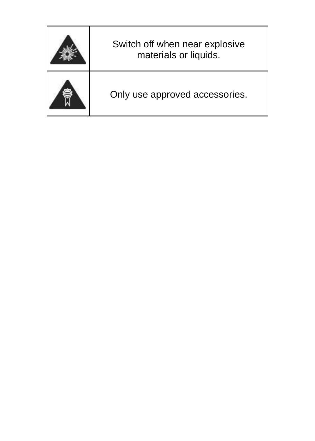| Switch off when near explosive<br>materials or liquids. |  |
|---------------------------------------------------------|--|
| Only use approved accessories.                          |  |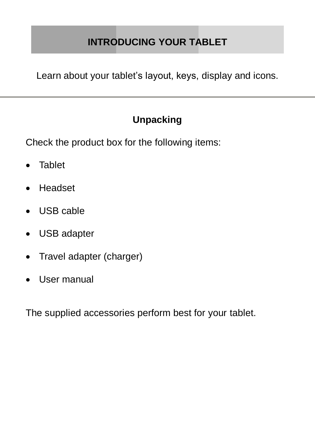# **INTRODUCING YOUR TABLET**

Learn about your tablet's layout, keys, display and icons.

# **Unpacking**

Check the product box for the following items:

- **.** Tablet
- Headset
- USB cable
- USB adapter
- Travel adapter (charger)
- User manual

The supplied accessories perform best for your tablet.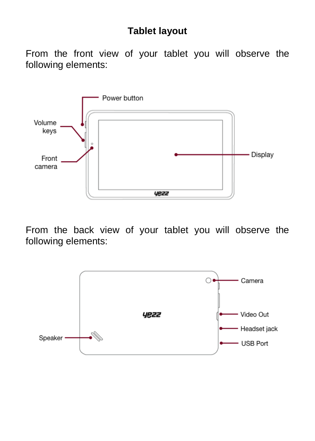## **Tablet layout**

From the front view of your tablet you will observe the following elements:



From the back view of your tablet you will observe the following elements:

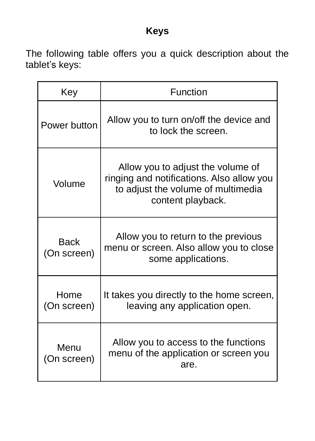# **Keys**

The following table offers you a quick description about the tablet's keys:

| Key                        | Function                                                                                                                                  |  |  |
|----------------------------|-------------------------------------------------------------------------------------------------------------------------------------------|--|--|
| Power button               | Allow you to turn on/off the device and<br>to lock the screen.                                                                            |  |  |
| Volume                     | Allow you to adjust the volume of<br>ringing and notifications. Also allow you<br>to adjust the volume of multimedia<br>content playback. |  |  |
| <b>Back</b><br>(On screen) | Allow you to return to the previous<br>menu or screen. Also allow you to close<br>some applications.                                      |  |  |
| Home<br>(On screen)        | It takes you directly to the home screen,<br>leaving any application open.                                                                |  |  |
| Menu<br>(On screen)        | Allow you to access to the functions<br>menu of the application or screen you<br>are.                                                     |  |  |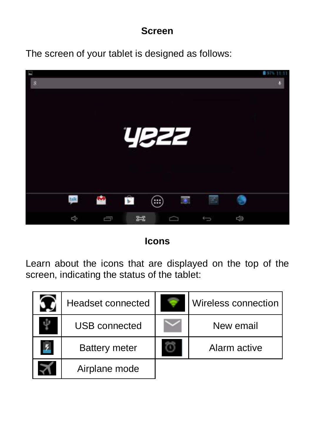#### **Screen**

The screen of your tablet is designed as follows:



**Icons**

Learn about the icons that are displayed on the top of the screen, indicating the status of the tablet:

| Headset connected    | Wireless connection |
|----------------------|---------------------|
| USB connected        | New email           |
| <b>Battery meter</b> | Alarm active        |
| Airplane mode        |                     |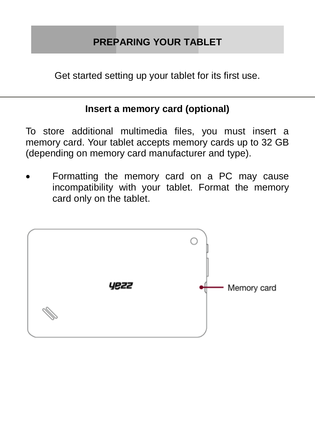# **PREPARING YOUR TABLET**

Get started setting up your tablet for its first use.

#### **Insert a memory card (optional)**

To store additional multimedia files, you must insert a memory card. Your tablet accepts memory cards up to 32 GB (depending on memory card manufacturer and type).

 Formatting the memory card on a PC may cause incompatibility with your tablet. Format the memory card only on the tablet.

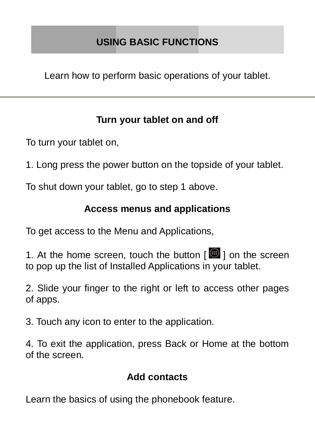Learn how to perform basic operations of your tablet.

## **Turn your tablet on and off**

To turn your tablet on,

1. Long press the power button on the topside of your tablet.

To shut down your tablet, go to step 1 above.

### **Access menus and applications**

To get access to the Menu and Applications,

1. At the home screen, touch the button [ ] on the screen to pop up the list of Installed Applications in your tablet.

2. Slide your finger to the right or left to access other pages of apps.

3. Touch any icon to enter to the application.

4. To exit the application, press Back or Home at the bottom of the screen.

## **Add contacts**

Learn the basics of using the phonebook feature.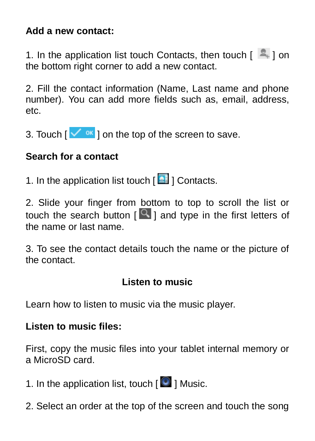#### **Add a new contact:**

1. In the application list touch Contacts, then touch  $\lceil \frac{1}{n} \rceil$  on the bottom right corner to add a new contact.

2. Fill the contact information (Name, Last name and phone number). You can add more fields such as, email, address, etc.

3. Touch  $\lceil \sqrt{\alpha} \rceil$  on the top of the screen to save.

# **Search for a contact**

1. In the application list touch [ <sup>2</sup> ] Contacts.

2. Slide your finger from bottom to top to scroll the list or touch the search button  $\lceil \frac{Q}{q} \rceil$  and type in the first letters of the name or last name.

3. To see the contact details touch the name or the picture of the contact.

#### **Listen to music**

Learn how to listen to music via the music player.

#### **Listen to music files:**

First, copy the music files into your tablet internal memory or a MicroSD card.

1. In the application list, touch  $\lceil \bullet \rceil$  Music.

2. Select an order at the top of the screen and touch the song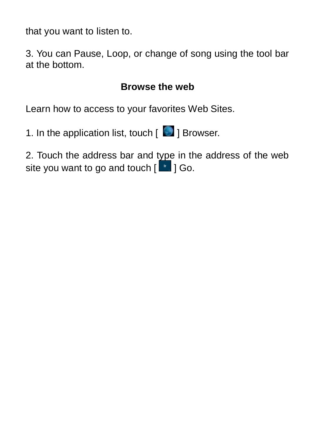that you want to listen to.

3. You can Pause, Loop, or change of song using the tool bar at the bottom.

## **Browse the web**

Learn how to access to your favorites Web Sites.

1. In the application list, touch  $\lceil \cdot \rceil$  Browser.

2. Touch the address bar and type in the address of the web site you want to go and touch  $\begin{bmatrix} 0 & 1 \\ 0 & 1 \end{bmatrix}$  Go.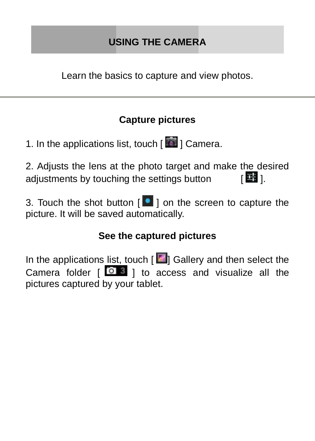# **USING THE CAMERA**

Learn the basics to capture and view photos.

## **Capture pictures**

1. In the applications list, touch [  $\blacksquare$  ] Camera.

2. Adjusts the lens at the photo target and make the desired adjustments by touching the settings button  $\left[$   $\frac{1}{2}$ ].

3. Touch the shot button  $\begin{bmatrix} \bullet & 1 \end{bmatrix}$  on the screen to capture the picture. It will be saved automatically.

## **See the captured pictures**

In the applications list, touch  $\boxed{d}$  Gallery and then select the Camera folder  $\begin{bmatrix} 0 & 3 \\ 0 & 1 \end{bmatrix}$  to access and visualize all the pictures captured by your tablet.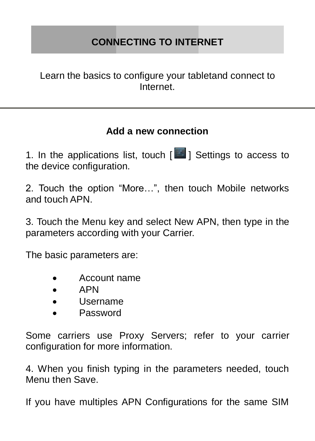# **CONNECTING TO INTERNET**

Learn the basics to configure your tabletand connect to Internet.

#### **Add a new connection**

1. In the applications list, touch  $\sqrt{2}$  1 Settings to access to the device configuration.

2. Touch the option "More…", then touch Mobile networks and touch APN.

3. Touch the Menu key and select New APN, then type in the parameters according with your Carrier.

The basic parameters are:

- Account name
- APN
- Username
- Password

Some carriers use Proxy Servers; refer to your carrier configuration for more information.

4. When you finish typing in the parameters needed, touch Menu then Save.

If you have multiples APN Configurations for the same SIM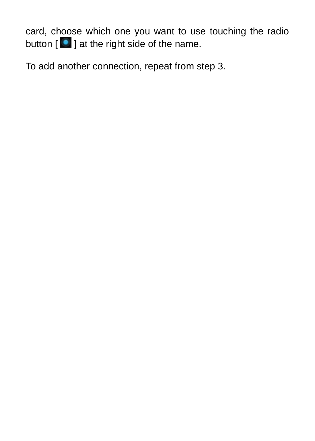card, choose which one you want to use touching the radio button  $\begin{bmatrix} 0 \\ 1 \end{bmatrix}$  at the right side of the name.

To add another connection, repeat from step 3.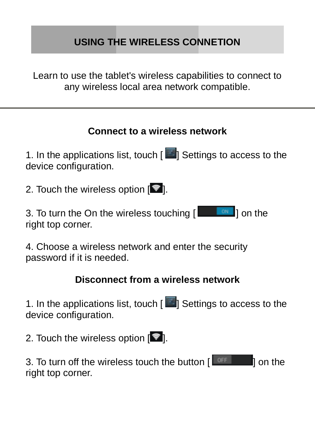# **USING THE WIRELESS CONNETION**

Learn to use the tablet's wireless capabilities to connect to any wireless local area network compatible.

### **Connect to a wireless network**

1. In the applications list, touch [  $\blacksquare$  Settings to access to the device configuration.

2. Touch the wireless option  $\lceil \cdot \cdot \cdot \rceil$ .

3. To turn the On the wireless touching  $\begin{bmatrix} 1 & 0 \\ 0 & 1 \end{bmatrix}$  on the right top corner.

4. Choose a wireless network and enter the security password if it is needed.

#### **Disconnect from a wireless network**

1. In the applications list, touch  $\left[\begin{array}{c} 1 \end{array}\right]$  Settings to access to the device configuration.

2. Touch the wireless option  $[$ 

3. To turn off the wireless touch the button  $\sqrt{1 - \frac{1}{n}}$  on the right top corner.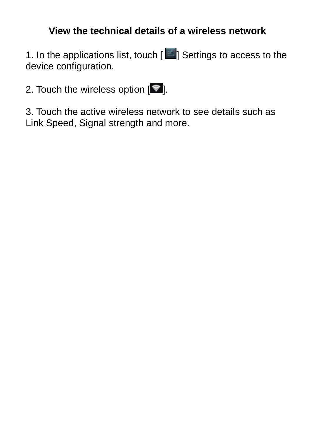## **View the technical details of a wireless network**

1. In the applications list, touch [ $\Box$ ] Settings to access to the device configuration.

2. Touch the wireless option  $\sqrt{\frac{1}{2}}$ .

3. Touch the active wireless network to see details such as Link Speed, Signal strength and more.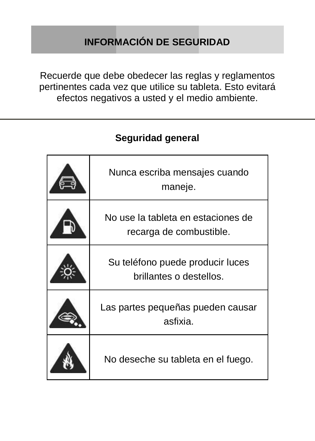# **INFORMACIÓN DE SEGURIDAD**

Recuerde que debe obedecer las reglas y reglamentos pertinentes cada vez que utilice su tableta. Esto evitará efectos negativos a usted y el medio ambiente.

# Nunca escriba mensajes cuando maneje. No use la tableta en estaciones de recarga de combustible. Su teléfono puede producir luces brillantes o destellos. Las partes pequeñas pueden causar asfixia. No deseche su tableta en el fuego.

## **Seguridad general**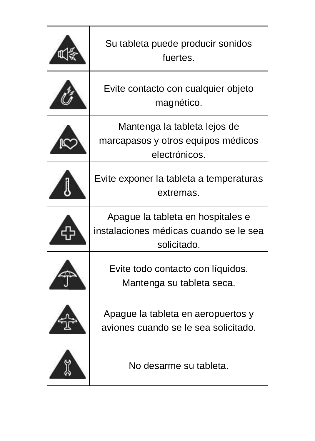| Su tableta puede producir sonidos<br>fuertes                                               |  |
|--------------------------------------------------------------------------------------------|--|
| Evite contacto con cualquier objeto<br>magnético.                                          |  |
| Mantenga la tableta lejos de<br>marcapasos y otros equipos médicos<br>electrónicos.        |  |
| Evite exponer la tableta a temperaturas<br>extremas.                                       |  |
| Apaque la tableta en hospitales e<br>instalaciones médicas cuando se le sea<br>solicitado. |  |
| Evite todo contacto con líquidos.<br>Mantenga su tableta seca.                             |  |
| Apaque la tableta en aeropuertos y<br>aviones cuando se le sea solicitado.                 |  |
| No desarme su tableta.                                                                     |  |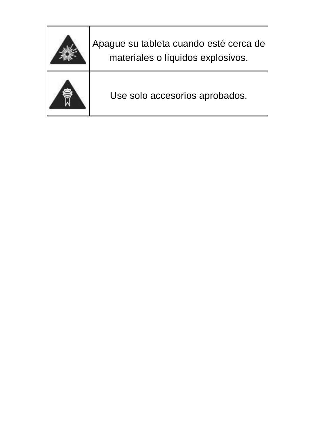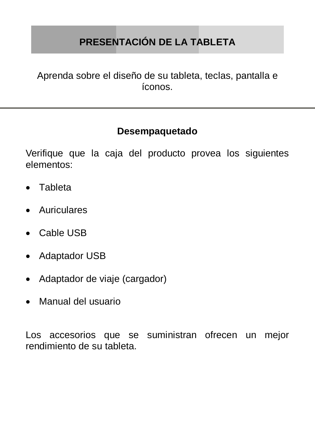# **PRESENTACIÓN DE LA TABLETA**

Aprenda sobre el diseño de su tableta, teclas, pantalla e íconos.

#### **Desempaquetado**

Verifique que la caja del producto provea los siguientes elementos:

- Tableta
- Auriculares
- Cable USB
- Adaptador USB
- Adaptador de viaje (cargador)
- Manual del usuario

Los accesorios que se suministran ofrecen un mejor rendimiento de su tableta.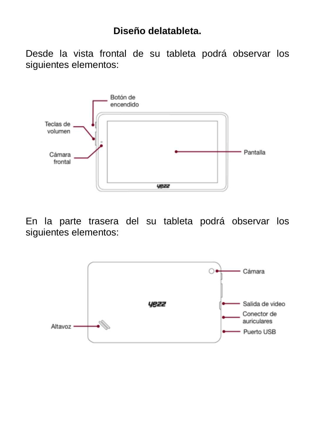## **Diseño delatableta.**

Desde la vista frontal de su tableta podrá observar los siguientes elementos:



En la parte trasera del su tableta podrá observar los siguientes elementos:

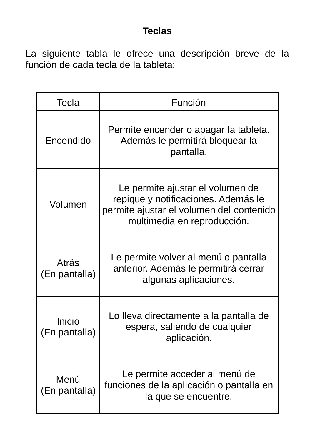## **Teclas**

La siguiente tabla le ofrece una descripción breve de la función de cada tecla de la tableta:

| Tecla                   | Función                                                                                                                                            |  |  |
|-------------------------|----------------------------------------------------------------------------------------------------------------------------------------------------|--|--|
| Encendido               | Permite encender o apagar la tableta.<br>Además le permitirá bloquear la<br>pantalla.                                                              |  |  |
| Volumen                 | Le permite ajustar el volumen de<br>repique y notificaciones. Además le<br>permite ajustar el volumen del contenido<br>multimedia en reproducción. |  |  |
| Atrás<br>(En pantalla)  | Le permite volver al menú o pantalla<br>anterior. Además le permitirá cerrar<br>algunas aplicaciones.                                              |  |  |
| Inicio<br>(En pantalla) | Lo lleva directamente a la pantalla de<br>espera, saliendo de cualquier<br>aplicación.                                                             |  |  |
| Menú<br>(En pantalla)   | Le permite acceder al menú de<br>funciones de la aplicación o pantalla en<br>la que se encuentre.                                                  |  |  |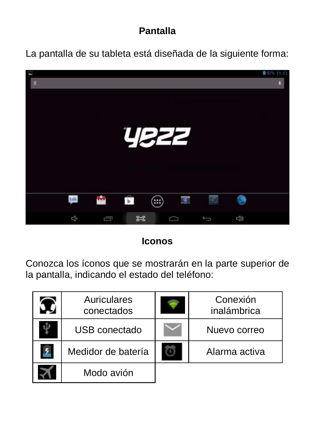## **Pantalla**

La pantalla de su tableta está diseñada de la siguiente forma:



**Iconos**

Conozca los íconos que se mostrarán en la parte superior de la pantalla, indicando el estado del teléfono:

| Auriculares<br>conectados | Conexión<br>inalámbrica |
|---------------------------|-------------------------|
| USB conectado             | Nuevo correo            |
| Medidor de batería        | Alarma activa           |
| Modo avión                |                         |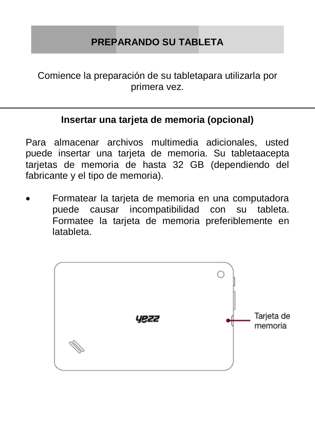# **PREPARANDO SU TABLETA**

Comience la preparación de su tabletapara utilizarla por primera vez.

#### **Insertar una tarjeta de memoria (opcional)**

Para almacenar archivos multimedia adicionales, usted puede insertar una tarjeta de memoria. Su tabletaacepta tarjetas de memoria de hasta 32 GB (dependiendo del fabricante y el tipo de memoria).

 Formatear la tarjeta de memoria en una computadora puede causar incompatibilidad con su tableta. Formatee la tarjeta de memoria preferiblemente en latableta.

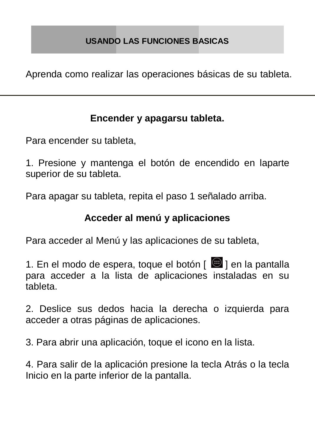#### **USANDO LAS FUNCIONES BASICAS**

Aprenda como realizar las operaciones básicas de su tableta.

#### **Encender y apagarsu tableta.**

Para encender su tableta,

1. Presione y mantenga el botón de encendido en laparte superior de su tableta.

Para apagar su tableta, repita el paso 1 señalado arriba.

#### **Acceder al menú y aplicaciones**

Para acceder al Menú y las aplicaciones de su tableta,

1. En el modo de espera, toque el botón [  $\bigoplus$  1 en la pantalla para acceder a la lista de aplicaciones instaladas en su tableta.

2. Deslice sus dedos hacia la derecha o izquierda para acceder a otras páginas de aplicaciones.

3. Para abrir una aplicación, toque el icono en la lista.

4. Para salir de la aplicación presione la tecla Atrás o la tecla Inicio en la parte inferior de la pantalla.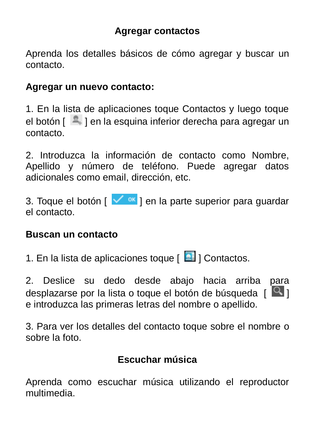#### **Agregar contactos**

Aprenda los detalles básicos de cómo agregar y buscar un contacto.

#### **Agregar un nuevo contacto:**

1. En la lista de aplicaciones toque Contactos y luego toque el botón  $\lceil \frac{1}{2} \rceil$  en la esquina inferior derecha para agregar un contacto.

2. Introduzca la información de contacto como Nombre, Apellido y número de teléfono. Puede agregar datos adicionales como email, dirección, etc.

3. Toque el botón  $\lceil \sqrt{8} \rceil$  en la parte superior para quardar el contacto.

#### **Buscan un contacto**

1. En la lista de aplicaciones toque [ **2** ] Contactos.

2. Deslice su dedo desde abajo hacia arriba para desplazarse por la lista o toque el botón de búsqueda [  $\boxed{Q}$  ] e introduzca las primeras letras del nombre o apellido.

3. Para ver los detalles del contacto toque sobre el nombre o sobre la foto.

#### **Escuchar música**

Aprenda como escuchar música utilizando el reproductor multimedia.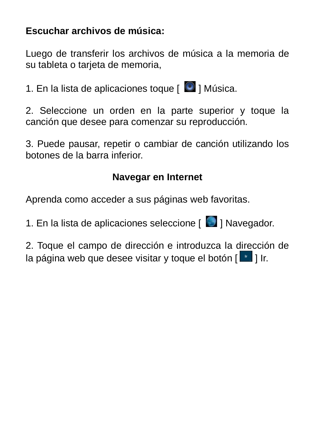#### **Escuchar archivos de música:**

Luego de transferir los archivos de música a la memoria de su tableta o tarieta de memoria.

1. En la lista de aplicaciones toque  $\Box$  1 Música.

2. Seleccione un orden en la parte superior y toque la canción que desee para comenzar su reproducción.

3. Puede pausar, repetir o cambiar de canción utilizando los botones de la barra inferior.

### **Navegar en Internet**

Aprenda como acceder a sus páginas web favoritas.

1. En la lista de aplicaciones seleccione [ **1.** Navegador.

2. Toque el campo de dirección e introduzca la dirección de la página web que desee visitar y toque el botón  $\lceil \cdot \rceil$  Ir.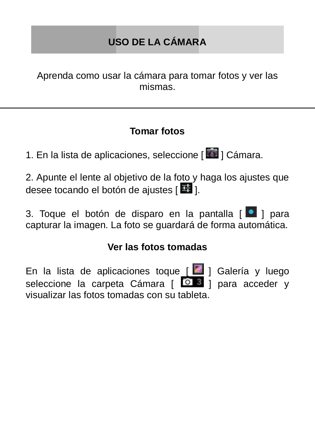# **USO DE LA CÁMARA**

Aprenda como usar la cámara para tomar fotos y ver las mismas.

### **Tomar fotos**

1. En la lista de aplicaciones, seleccione [  $\blacksquare$  ] Cámara.

2. Apunte el lente al objetivo de la foto y haga los ajustes que desee tocando el botón de ajustes [  $\frac{1}{2}$  ].

3. Toque el botón de disparo en la pantalla [ <sup>0</sup> 1 para capturar la imagen. La foto se guardará de forma automática.

#### **Ver las fotos tomadas**

En la lista de aplicaciones toque [ 4 ] Galería y luego seleccione la carpeta Cámara [ 0 3 ] para acceder y visualizar las fotos tomadas con su tableta.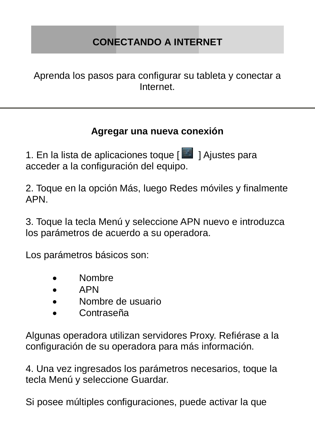# **CONECTANDO A INTERNET**

Aprenda los pasos para configurar su tableta y conectar a Internet.

#### **Agregar una nueva conexión**

1. En la lista de aplicaciones toque [ **1** ] Ajustes para acceder a la configuración del equipo.

2. Toque en la opción Más, luego Redes móviles y finalmente APN.

3. Toque la tecla Menú y seleccione APN nuevo e introduzca los parámetros de acuerdo a su operadora.

Los parámetros básicos son:

- Nombre
- APN
- Nombre de usuario
- Contraseña

Algunas operadora utilizan servidores Proxy. Refiérase a la configuración de su operadora para más información.

4. Una vez ingresados los parámetros necesarios, toque la tecla Menú y seleccione Guardar.

Si posee múltiples configuraciones, puede activar la que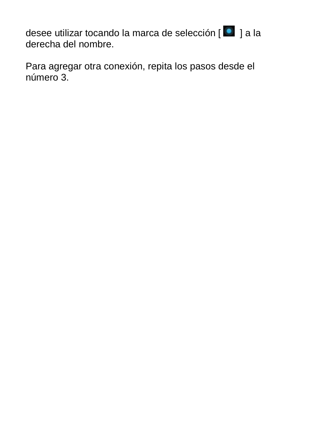desee utilizar tocando la marca de selección [<sup>0</sup> ] a la derecha del nombre.

Para agregar otra conexión, repita los pasos desde el número 3.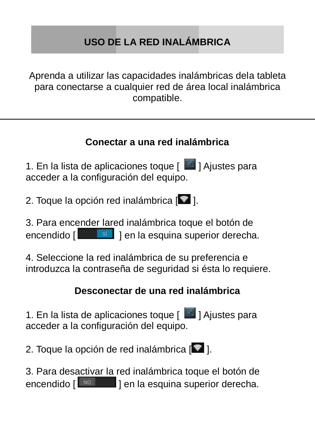# **USO DE LA RED INALÁMBRICA**

Aprenda a utilizar las capacidades inalámbricas dela tableta para conectarse a cualquier red de área local inalámbrica compatible.

### **Conectar a una red inalámbrica**

1. En la lista de aplicaciones toque [  $\Box$  ] Ajustes para acceder a la configuración del equipo.

2. Toque la opción red inalámbrica  $\sqrt{2}$ .

3. Para encender lared inalámbrica toque el botón de encendido [ **191** | en la esquina superior derecha.

4. Seleccione la red inalámbrica de su preferencia e introduzca la contraseña de seguridad si ésta lo requiere.

#### **Desconectar de una red inalámbrica**

1. En la lista de aplicaciones toque [ **2** ] Ajustes para acceder a la configuración del equipo.

2. Toque la opción de red inalámbrica  $\lceil \blacktriangledown \rceil$ .

3. Para desactivar la red inalámbrica toque el botón de encendido [  $\frac{100}{2}$  | en la esquina superior derecha.